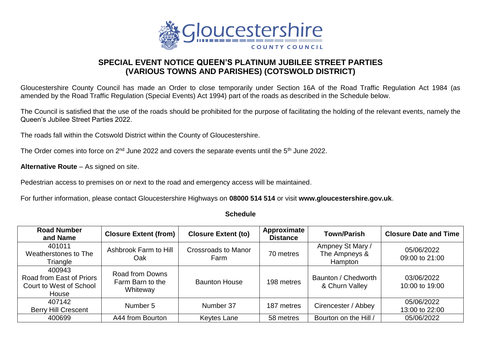

## **SPECIAL EVENT NOTICE QUEEN'S PLATINUM JUBILEE STREET PARTIES (VARIOUS TOWNS AND PARISHES) (COTSWOLD DISTRICT)**

Gloucestershire County Council has made an Order to close temporarily under Section 16A of the Road Traffic Regulation Act 1984 (as amended by the Road Traffic Regulation (Special Events) Act 1994) part of the roads as described in the Schedule below.

The Council is satisfied that the use of the roads should be prohibited for the purpose of facilitating the holding of the relevant events, namely the Queen's Jubilee Street Parties 2022.

The roads fall within the Cotswold District within the County of Gloucestershire.

The Order comes into force on 2<sup>nd</sup> June 2022 and covers the separate events until the 5<sup>th</sup> June 2022.

**Alternative Route** – As signed on site.

Pedestrian access to premises on or next to the road and emergency access will be maintained.

For further information, please contact Gloucestershire Highways on **08000 514 514** or visit **www.gloucestershire.gov.uk**.

## **Schedule**

| <b>Road Number</b><br>and Name                                         | <b>Closure Extent (from)</b>                    | <b>Closure Extent (to)</b>         | Approximate<br><b>Distance</b> | <b>Town/Parish</b>                           | <b>Closure Date and Time</b> |
|------------------------------------------------------------------------|-------------------------------------------------|------------------------------------|--------------------------------|----------------------------------------------|------------------------------|
| 401011<br>Weatherstones to The<br>Triangle                             | Ashbrook Farm to Hill<br>Oak                    | <b>Crossroads to Manor</b><br>Farm | 70 metres                      | Ampney St Mary /<br>The Ampneys &<br>Hampton | 05/06/2022<br>09:00 to 21:00 |
| 400943<br>Road from East of Priors<br>Court to West of School<br>House | Road from Downs<br>Farm Barn to the<br>Whiteway | <b>Baunton House</b>               | 198 metres                     | Baunton / Chedworth<br>& Churn Valley        | 03/06/2022<br>10:00 to 19:00 |
| 407142<br><b>Berry Hill Crescent</b>                                   | Number 5                                        | Number 37                          | 187 metres                     | Cirencester / Abbey                          | 05/06/2022<br>13:00 to 22:00 |
| 400699                                                                 | A44 from Bourton                                | <b>Keytes Lane</b>                 | 58 metres                      | Bourton on the Hill /                        | 05/06/2022                   |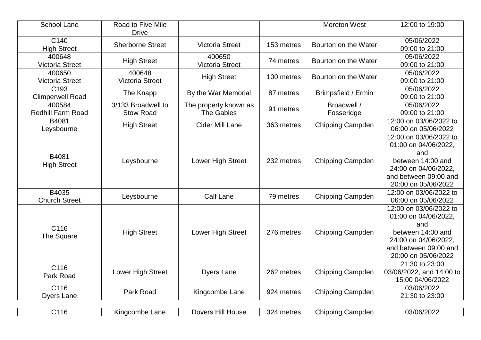| <b>School Lane</b>                          | Road to Five Mile<br><b>Drive</b>      |                                            |            | <b>Moreton West</b>       | 12:00 to 19:00                                                                                                                                     |
|---------------------------------------------|----------------------------------------|--------------------------------------------|------------|---------------------------|----------------------------------------------------------------------------------------------------------------------------------------------------|
| C140<br><b>High Street</b>                  | <b>Sherborne Street</b>                | <b>Victoria Street</b>                     | 153 metres | Bourton on the Water      | 05/06/2022<br>09:00 to 21:00                                                                                                                       |
| 400648<br><b>Victoria Street</b>            | <b>High Street</b>                     | 400650<br><b>Victoria Street</b>           | 74 metres  | Bourton on the Water      | 05/06/2022<br>09:00 to 21:00                                                                                                                       |
| 400650<br><b>Victoria Street</b>            | 400648<br><b>Victoria Street</b>       | <b>High Street</b>                         | 100 metres | Bourton on the Water      | 05/06/2022<br>09:00 to 21:00                                                                                                                       |
| C <sub>193</sub><br><b>Climperwell Road</b> | The Knapp                              | By the War Memorial                        | 87 metres  | Brimpsfield / Ermin       | 05/06/2022<br>09:00 to 21:00                                                                                                                       |
| 400584<br><b>Redhill Farm Road</b>          | 3/133 Broadwell to<br><b>Stow Road</b> | The property known as<br><b>The Gables</b> | 91 metres  | Broadwell /<br>Fosseridge | 05/06/2022<br>09:00 to 21:00                                                                                                                       |
| B4081<br>Leysbourne                         | <b>High Street</b>                     | <b>Cider Mill Lane</b>                     | 363 metres | Chipping Campden          | 12:00 on 03/06/2022 to<br>06:00 on 05/06/2022                                                                                                      |
| B4081<br><b>High Street</b>                 | Leysbourne                             | Lower High Street                          | 232 metres | Chipping Campden          | 12:00 on 03/06/2022 to<br>01:00 on 04/06/2022,<br>and<br>between 14:00 and<br>24:00 on 04/06/2022,<br>and between 09:00 and<br>20:00 on 05/06/2022 |
| B4035<br><b>Church Street</b>               | Leysbourne                             | <b>Calf Lane</b>                           | 79 metres  | Chipping Campden          | 12:00 on 03/06/2022 to<br>06:00 on 05/06/2022                                                                                                      |
| C116<br>The Square                          | <b>High Street</b>                     | Lower High Street                          | 276 metres | Chipping Campden          | 12:00 on 03/06/2022 to<br>01:00 on 04/06/2022,<br>and<br>between 14:00 and<br>24:00 on 04/06/2022,<br>and between 09:00 and<br>20:00 on 05/06/2022 |
| C116<br>Park Road                           | Lower High Street                      | <b>Dyers Lane</b>                          | 262 metres | <b>Chipping Campden</b>   | 21:30 to 23:00<br>03/06/2022, and 14:00 to<br>15:00 04/06/2022                                                                                     |
| C116<br><b>Dyers Lane</b>                   | Park Road                              | Kingcombe Lane                             | 924 metres | Chipping Campden          | 03/06/2022<br>21:30 to 23:00                                                                                                                       |

C116 Kingcombe Lane | Dovers Hill House | 324 metres | Chipping Campden | 03/06/2022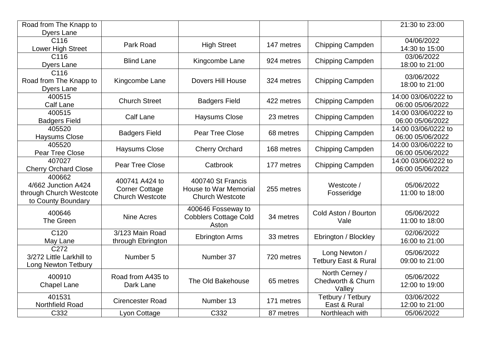| Road from The Knapp to                                                         |                                                                   |                                                                             |            |                                                  | 21:30 to 23:00                          |
|--------------------------------------------------------------------------------|-------------------------------------------------------------------|-----------------------------------------------------------------------------|------------|--------------------------------------------------|-----------------------------------------|
| <b>Dyers Lane</b><br>C116<br>Lower High Street                                 | Park Road                                                         | <b>High Street</b>                                                          | 147 metres | <b>Chipping Campden</b>                          | 04/06/2022<br>14:30 to 15:00            |
| C116<br><b>Dyers Lane</b>                                                      | <b>Blind Lane</b>                                                 | Kingcombe Lane                                                              | 924 metres | <b>Chipping Campden</b>                          | 03/06/2022<br>18:00 to 21:00            |
| C116<br>Road from The Knapp to<br><b>Dyers Lane</b>                            | Kingcombe Lane                                                    | <b>Dovers Hill House</b>                                                    | 324 metres | <b>Chipping Campden</b>                          | 03/06/2022<br>18:00 to 21:00            |
| 400515<br><b>Calf Lane</b>                                                     | <b>Church Street</b>                                              | <b>Badgers Field</b>                                                        | 422 metres | Chipping Campden                                 | 14:00 03/06/0222 to<br>06:00 05/06/2022 |
| 400515<br><b>Badgers Field</b>                                                 | <b>Calf Lane</b>                                                  | <b>Haysums Close</b>                                                        | 23 metres  | Chipping Campden                                 | 14:00 03/06/0222 to<br>06:00 05/06/2022 |
| 405520<br><b>Haysums Close</b>                                                 | <b>Badgers Field</b>                                              | Pear Tree Close                                                             | 68 metres  | Chipping Campden                                 | 14:00 03/06/0222 to<br>06:00 05/06/2022 |
| 405520<br>Pear Tree Close                                                      | <b>Haysums Close</b>                                              | <b>Cherry Orchard</b>                                                       | 168 metres | Chipping Campden                                 | 14:00 03/06/0222 to<br>06:00 05/06/2022 |
| 407027<br><b>Cherry Orchard Close</b>                                          | Pear Tree Close                                                   | Catbrook                                                                    | 177 metres | Chipping Campden                                 | 14:00 03/06/0222 to<br>06:00 05/06/2022 |
| 400662<br>4/662 Junction A424<br>through Church Westcote<br>to County Boundary | 400741 A424 to<br><b>Corner Cottage</b><br><b>Church Westcote</b> | 400740 St Francis<br><b>House to War Memorial</b><br><b>Church Westcote</b> | 255 metres | Westcote /<br>Fosseridge                         | 05/06/2022<br>11:00 to 18:00            |
| 400646<br>The Green                                                            | Nine Acres                                                        | 400646 Fosseway to<br><b>Cobblers Cottage Cold</b><br>Aston                 | 34 metres  | Cold Aston / Bourton<br>Vale                     | 05/06/2022<br>11:00 to 18:00            |
| C <sub>120</sub><br>May Lane                                                   | 3/123 Main Road<br>through Ebrington                              | <b>Ebrington Arms</b>                                                       | 33 metres  | Ebrington / Blockley                             | 02/06/2022<br>16:00 to 21:00            |
| C272<br>3/272 Little Larkhill to<br><b>Long Newton Tetbury</b>                 | Number 5                                                          | Number 37                                                                   | 720 metres | Long Newton /<br><b>Tetbury East &amp; Rural</b> | 05/06/2022<br>09:00 to 21:00            |
| 400910<br><b>Chapel Lane</b>                                                   | Road from A435 to<br>Dark Lane                                    | The Old Bakehouse                                                           | 65 metres  | North Cerney /<br>Chedworth & Churn<br>Valley    | 05/06/2022<br>12:00 to 19:00            |
| 401531<br>Northfield Road                                                      | <b>Cirencester Road</b>                                           | Number 13                                                                   | 171 metres | Tetbury / Tetbury<br>East & Rural                | 03/06/2022<br>12:00 to 21:00            |
| C332                                                                           | Lyon Cottage                                                      | C332                                                                        | 87 metres  | Northleach with                                  | 05/06/2022                              |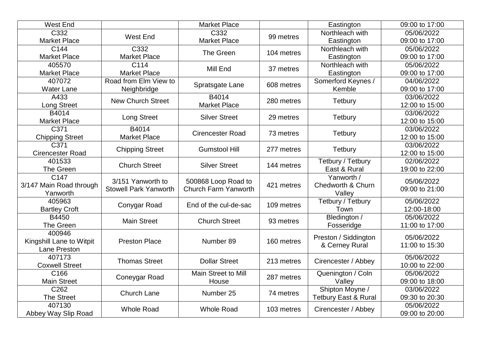| West End                 |                              | <b>Market Place</b>                         |                                   | Eastington                                | 09:00 to 17:00 |
|--------------------------|------------------------------|---------------------------------------------|-----------------------------------|-------------------------------------------|----------------|
| C332                     | West End                     | C332                                        | 99 metres                         | Northleach with                           | 05/06/2022     |
| <b>Market Place</b>      |                              | <b>Market Place</b>                         |                                   | Eastington                                | 09:00 to 17:00 |
| C144                     | C332                         | The Green                                   | 104 metres                        | Northleach with                           | 05/06/2022     |
| <b>Market Place</b>      | <b>Market Place</b>          |                                             |                                   | Eastington                                | 09:00 to 17:00 |
| 405570                   | C114                         | Mill End                                    | 37 metres                         | Northleach with                           | 05/06/2022     |
| <b>Market Place</b>      | <b>Market Place</b>          |                                             |                                   | Eastington                                | 09:00 to 17:00 |
| 407072                   | Road from Elm View to        | Spratsgate Lane                             | 608 metres                        | Somerford Keynes /                        | 04/06/2022     |
| <b>Water Lane</b>        | Neighbridge                  |                                             |                                   | Kemble                                    | 09:00 to 17:00 |
| A433                     | <b>New Church Street</b>     | B4014<br><b>Market Place</b>                | 280 metres                        | <b>Tetbury</b>                            | 03/06/2022     |
| <b>Long Street</b>       |                              |                                             |                                   |                                           | 12:00 to 15:00 |
| B4014                    |                              |                                             | 29 metres                         |                                           | 03/06/2022     |
| <b>Market Place</b>      | Long Street                  | <b>Silver Street</b>                        |                                   | Tetbury                                   | 12:00 to 15:00 |
| C371                     | B4014                        |                                             |                                   |                                           | 03/06/2022     |
| <b>Chipping Street</b>   | <b>Market Place</b>          | <b>Cirencester Road</b>                     | 73 metres                         | <b>Tetbury</b>                            | 12:00 to 15:00 |
| C371                     |                              | <b>Gumstool Hill</b>                        | 277 metres                        |                                           | 03/06/2022     |
| <b>Cirencester Road</b>  | <b>Chipping Street</b>       |                                             |                                   | Tetbury                                   | 12:00 to 15:00 |
| 401533                   | <b>Church Street</b>         | <b>Silver Street</b>                        | 144 metres                        | Tetbury / Tetbury                         | 02/06/2022     |
| The Green                |                              |                                             |                                   | East & Rural                              | 19:00 to 22:00 |
| C147                     | 3/151 Yanworth to            | 500868 Loop Road to<br>Church Farm Yanworth | 421 metres                        | Yanworth /<br>Chedworth & Churn<br>Valley | 05/06/2022     |
| 3/147 Main Road through  | <b>Stowell Park Yanworth</b> |                                             |                                   |                                           | 09:00 to 21:00 |
| Yanworth                 |                              |                                             |                                   |                                           |                |
| 405963                   | Conygar Road                 | End of the cul-de-sac                       | 109 metres                        | Tetbury / Tetbury                         | 05/06/2022     |
| <b>Bartley Croft</b>     |                              |                                             |                                   | Town                                      | 12:00-18:00    |
| B4450                    | <b>Main Street</b>           |                                             | <b>Church Street</b><br>93 metres | Bledington /                              | 05/06/2022     |
| The Green                |                              |                                             |                                   | Fosseridge                                | 11:00 to 17:00 |
| 400946                   |                              |                                             |                                   | Preston / Siddington                      | 05/06/2022     |
| Kingshill Lane to Witpit | <b>Preston Place</b>         | Number 89                                   | 160 metres                        | & Cerney Rural                            | 11:00 to 15:30 |
| Lane Preston             |                              |                                             |                                   |                                           |                |
| 407173                   | <b>Thomas Street</b>         | <b>Dollar Street</b>                        | 213 metres                        | Cirencester / Abbey                       | 05/06/2022     |
| <b>Coxwell Street</b>    |                              |                                             |                                   |                                           | 10:00 to 22:00 |
| C166                     | Coneygar Road                | Main Street to Mill                         | 287 metres                        | Quenington / Coln                         | 05/06/2022     |
| <b>Main Street</b>       |                              | House                                       |                                   | Valley                                    | 09:00 to 18:00 |
| C262                     | Church Lane                  | Number 25                                   | 74 metres                         | Shipton Moyne /                           | 03/06/2022     |
| <b>The Street</b>        |                              |                                             |                                   | <b>Tetbury East &amp; Rural</b>           | 09:30 to 20:30 |
| 407130                   | <b>Whole Road</b>            | <b>Whole Road</b>                           | 103 metres                        | Cirencester / Abbey                       | 05/06/2022     |
| Abbey Way Slip Road      |                              |                                             |                                   |                                           | 09:00 to 20:00 |